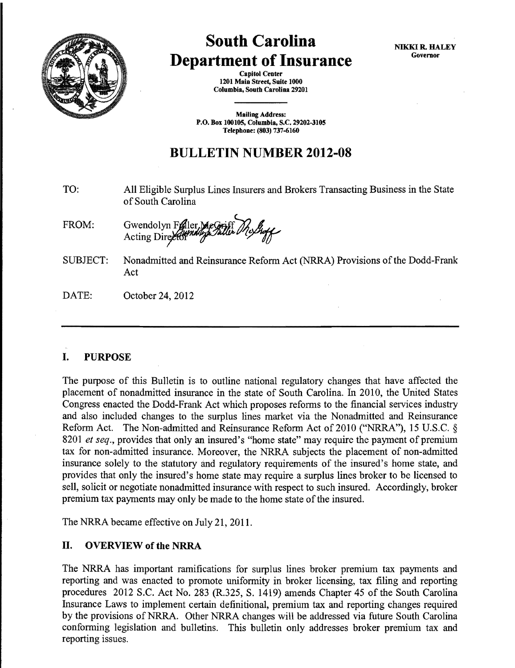

# South Carolina Department of Insurance

NIKKI R. HALEY Governor

Capitol Center 1201 Main Street, Suite 1000 Columbia, South Carolina 29201

Mailing Address: P.O. Box 100105, Columbia, S.C. 29202-3105 Telephone: (803) 737-6160

# BULLETIN NUMBER 2012-08

- TO: All Eligible Surplus Lines Insurers and Brokers Transacting Business in the State of South Carolina
- FROM: Gwendolyn Fraller, MeGriff Me*ghy*
- SUBJECT: Nonadmitted and Reinsurance Reform Act (NRRA) Provisions of the Dodd-Frank Act
- DATE: October 24, 2012

# I. PURPOSE

The purpose of this Bulletin is to outline national regulatory changes that have affected the placement of nonadmitted insurance in the state of South Carolina. In 2010, the United States Congress enacted the Dodd-Frank Act which proposes reforms to the financial services industry and also included changes to the surplus lines market via the Nonadmitted and Reinsurance Reform Act. The Non-admitted and Reinsurance Reform Act of 2010 ("NRRA"), 15 U.S.C. § 8201 *et seq.,* provides that only an insured's "home state" may require the payment of premium tax for non-admitted insurance. Moreover, the NRRA subjects the placement of non-admitted insurance solely to the statutory and regulatory requirements of the insured's home state, and provides that only the insured's home state may require a surplus lines broker to be licensed to sell, solicit or negotiate nonadmitted insurance with respect to such insured. Accordingly, broker premium tax payments may only be made to the home state of the insured.

The NRRA became effective on July 21, 2011.

# II. OVERVIEW of the NRRA

The NRRA has important ramifications for surplus lines broker premium tax payments and reporting and was enacted to promote uniformity in broker licensing, tax filing and reporting procedures 2012 S.C. Act No. 283 (R.325, S. 1419) amends Chapter 45 of the South Carolina Insurance Laws to implement certain definitional, premium tax and reporting changes required by the provisions of NRRA. Other NRRA changes will be addressed via future South Carolina conforming legislation and bulletins. This bulletin only addresses broker premium tax and reporting issues.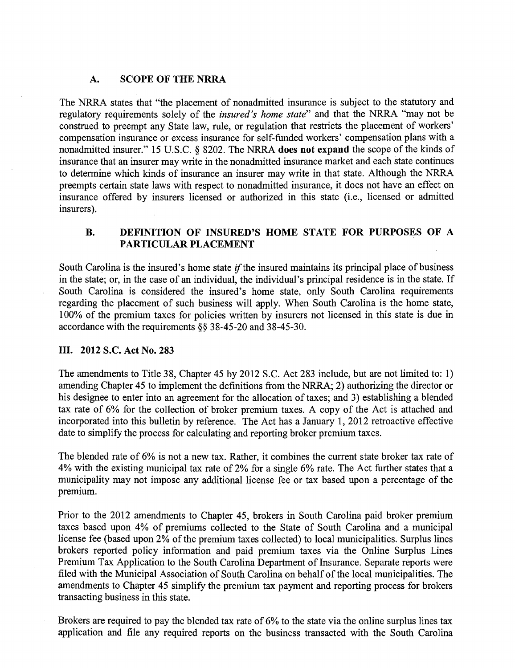# **A. SCOPE OF THE NRRA**

The NRRA states that "the placement of nonadmitted insurance is subject to the statutory and regulatory requirements solely of the *insured's home state"* and that the NRRA "may not be construed to preempt any State law, rule, or regulation that restricts the placement of workers' compensation insurance or excess insurance for self-funded workers' compensation plans with a nonadmitted insurer." 15 U.S.C. § 8202. The NRRA **does not expand** the scope of the kinds of insurance that an insurer may write in the nonadmitted insurance market and each state continues to determine which kinds of insurance an insurer may write in that state. Although the NRRA preempts certain state laws with respect to nonadmitted insurance, it does not have an effect on insurance offered by insurers licensed or authorized in this state (i.e., licensed or admitted insurers).

# **B. DEFINITION OF INSURED'S HOME STATE FOR PURPOSES OF A PARTICULAR PLACEMENT**

South Carolina is the insured's home state  $if$  the insured maintains its principal place of business in the state; or, in the case of an individual, the individual's principal residence is in the state. If South Carolina is considered the insured's home state, only South Carolina requirements regarding the placement of such business will apply. When South Carolina is the home state, 100% of the premium taxes for policies written by insurers not licensed in this state is due in accordance with the requirements §§ 38-45-20 and 38-45-30.

### III. **2012** S.C. **Act No. 283**

The amendments to Title 38, Chapter 45 by 2012 S.C. Act 283 include, but are not limited to: 1) amending Chapter 45 to implement the definitions from the NRRA; 2) authorizing the director or his designee to enter into an agreement for the allocation of taxes; and 3) establishing a blended tax rate of 6% for the collection of broker premium taxes. A copy of the Act is attached and incorporated into this bulletin by reference. The Act has a January 1, 2012 retroactive effective date to simplify the process for calculating and reporting broker premium taxes.

The blended rate of 6% is not a new tax. Rather, it combines the current state broker tax rate of 4% with the existing municipal tax rate of 2% for a single 6% rate. The Act further states that a municipality may not impose any additional license fee or tax based upon a percentage of the premium.

Prior to the 2012 amendments to Chapter 45, brokers in South Carolina paid broker premium taxes based upon 4% of premiums collected to the State of South Carolina and a municipal license fee (based upon 2% of the premium taxes collected) to local municipalities. Surplus lines brokers reported policy information and paid premium taxes via the Online Surplus Lines Premium Tax Application to the South Carolina Department of Insurance. Separate reports were filed with the Municipal Association of South Carolina on behalf of the local municipalities. The amendments to Chapter 45 simplify the premium tax payment and reporting process for brokers transacting business in this state.

Brokers are required to pay the blended tax rate of 6% to the state via the online surplus lines tax application and file any required reports on the business transacted with the South Carolina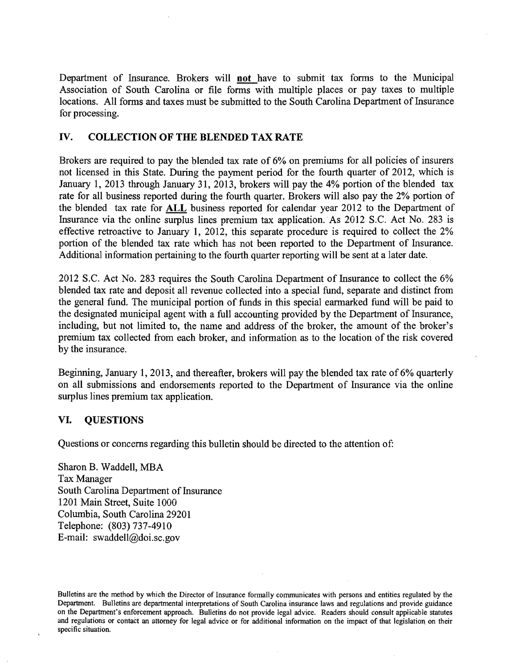Department of fusurance. Brokers will not have to submit tax forms to the Municipal Association of South Carolina or file forms with multiple places or pay taxes to multiple locations. All forms and taxes must be submitted to the South Carolina Department of Insurance for processing.

# IV. COLLECTION OF THE BLENDED TAX RATE

Brokers are required to pay the blended tax rate of 6% on premiums for all policies of insurers not licensed in this State. During the payment period for the fourth quarter of 2012, which is January 1, 2013 through January 31, 2013, brokers will pay the 4% portion of the blended tax rate for all business reported during the fourth quarter. Brokers will also pay the 2% portion of the blended tax rate for ALL business reported for calendar year 2012 to the Department of Insurance via the online surplus lines premium tax application. As 2012 S.C. Act No. 283 is effective retroactive to January 1, 2012, this separate procedure is required to collect the 2% portion of the blended tax rate which has not been reported to the Department of Insurance. Additional information pertaining to the fourth quarter reporting will be sent at a later date.

2012 S.C. Act No. 283 requires the South Carolina Department of Insurance to collect the 6% blended tax rate and deposit all revenue collected into a special fund, separate and distinct from the general fund. The municipal portion of funds in this special earmarked fund will be paid to the designated municipal agent with a full accounting provided by the Department of Insurance, including, but not limited to, the name and address of the broker, the amount of the broker's premium tax collected from each broker, and information as to the location of the risk covered by the insurance.

Beginning, January 1, 2013, and thereafter, brokers will pay the blended tax rate of 6% quarterly on all submissions and endorsements reported to the Department of fusurance via the online surplus lines premium tax application.

### VI. QUESTIONS

Questions or concerns regarding this bulletin should be directed to the attention of:

Sharon B. Waddell, MBA Tax Manager South Carolina Department of Insurance 1201 Main Street, Suite 1000 Columbia, South Carolina 29201 Telephone: (803) 737-4910 E-mail: swaddell@doi.sc.gov

Bulletins are the method by which the Director of Insurance formally communicates with persons and entities regulated by the Department. Bulletins are departmental interpretations of South Carolina insurance Jaws and regulations and provide guidance on the Department's enforcement approach. Bulletins do not provide legal advice. Readers should consult applicable statutes and regulations or contact an attorney for legal advice or for additional information on the impact of that legislation on their specific situation.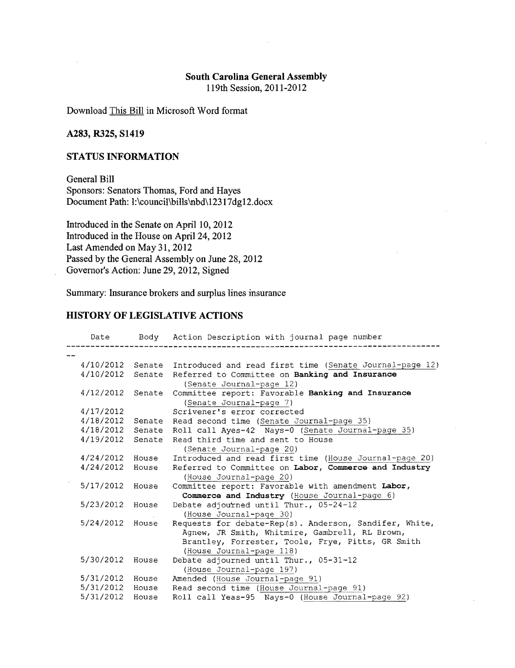# South Carolina General Assembly

119th Session, 2011-2012

Download This Bill in Microsoft Word format

# A283, R325, S1419

#### STATUS INFORMATION

General Bill Sponsors: Senators Thomas, Ford and Hayes Document Path: 1:\council\bills\nbd\12317dg12.docx

Introduced in the Senate on April 10, 2012 Introduced in the House on Apri124, 2012 Last Amended on May 31, 2012 Passed by the General Assembly on June 28, 2012 Governor's Action: June 29, 2012, Signed

Summary: Insurance brokers and surplus lines insurance

#### HISTORY OF LEGISLATIVE ACTIONS

| Date      |        | Body Action Description with journal page number               |
|-----------|--------|----------------------------------------------------------------|
|           |        |                                                                |
| 4/10/2012 |        | Senate Introduced and read first time (Senate Journal-page 12) |
| 4/10/2012 |        | Senate Referred to Committee on Banking and Insurance          |
|           |        | (Senate Journal-page 12)                                       |
| 4/12/2012 | Senate | Committee report: Favorable Banking and Insurance              |
|           |        | (Senate Journal-page 7)                                        |
| 4/17/2012 |        | Scrivener's error corrected                                    |
| 4/18/2012 | Senate | Read second time (Senate Journal-page 35)                      |
| 4/18/2012 |        | Senate Roll call Ayes-42 Nays-0 (Senate Journal-page 35)       |
| 4/19/2012 |        | Senate Read third time and sent to House                       |
|           |        | (Senate Journal-page 20)                                       |
| 4/24/2012 | House  | Introduced and read first time (House Journal-page 20)         |
| 4/24/2012 | House  | Referred to Committee on Labor, Commerce and Industry          |
|           |        | (House Journal-page 20)                                        |
| 5/17/2012 | House  | Committee report: Favorable with amendment Labor,              |
|           |        | Commerce and Industry (House Journal-page 6)                   |
| 5/23/2012 | House  | Debate adjourned until Thur., 05-24-12                         |
|           |        | (House Journal-page 30)                                        |
| 5/24/2012 | House  | Requests for debate-Rep(s). Anderson, Sandifer, White,         |
|           |        | Agnew, JR Smith, Whitmire, Gambrell, RL Brown,                 |
|           |        | Brantley, Forrester, Toole, Frye, Pitts, GR Smith              |
|           |        | (House Journal-page 118)                                       |
| 5/30/2012 | House  | Debate adjourned until Thur., 05-31-12                         |
|           |        | (House Journal-page 197)                                       |
| 5/31/2012 | House  | Amended (House Journal-page 91)                                |
| 5/31/2012 | House  | Read second time (House Journal-page 91)                       |
| 5/31/2012 | House  | Roll call Yeas-95 Nays-0 (House Journal-page 92)               |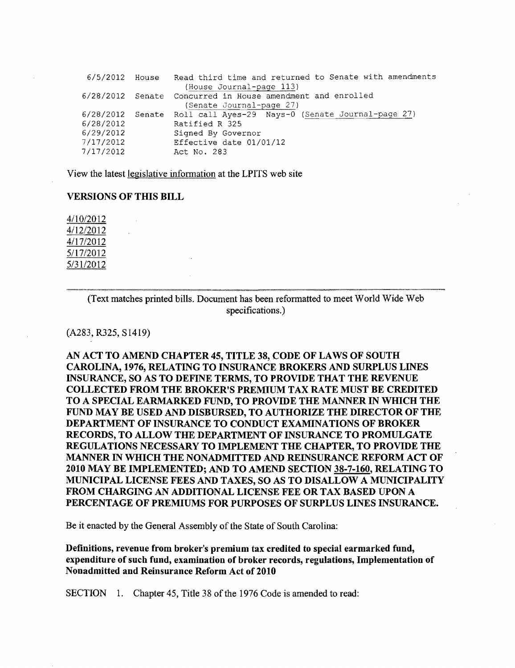```
6/5/2012 House Read third time and returned to Senate with amendments 
                  (House Journal-page 113)
6/28/2012 
                  (Senate Journal-page 27)
6/28/2012 
Senate 
6/28/2012 
                Ratified R 325 
6/29/2012 
                Signed Governor 
                Effective date 01/01/12 
7/17/2012 
7/17/2012 
                Act No. 283
```
View the latest legislative information at the LPITS web site

#### **VERSIONS OF THIS BILL**

4/10/2012 4/12/2012 4/17/2012 5/17/2012 5/31/2012

> (Text matches printed bills. Document has been reformatted to meet World Wide Web specifications.)

#### (A283,R325,S1419)

AN ACT TO AMEND CHAPTER 45, TITLE 38, CODE OF LAWS OF SOUTH CAROLINA, 1976, RELATING TO INSURANCE BROKERS AND SURPLUS LINES INSURANCE, SO AS TO DEFINE TERMS, TO PROVIDE THAT THE REVENUE COLLECTED FROM THE BROKER'S PREMIUM TAX RATE MUST BE CREDITED TO A SPECIAL EARMARKED FUND, TO PROVIDE THE MANNER IN WIDCH THE FUND MAY BE USED AND DISBURSED, TO AUTHORIZE THE DIRECTOR OF THE DEPARTMENT OF INSURANCE TO CONDUCT EXAMINATIONS OF BROKER RECORDS, TO ALLOW THE DEPARTMENT OF INSURANCE TO PROMULGATE REGULATIONS NECESSARY TO IMPLEMENT THE CHAPTER, TO PROVIDE THE MANNER IN WHICH THE NONADMITTED AND REINSURANCE REFORM ACT OF 2010 MAY BE IMPLEMENTED; AND TO AMEND SECTION 38-7-160, RELATING TO MUNICIPAL LICENSE FEES AND TAXES, SO AS TO DISALLOW A MUNICIPALITY FROM CHARGING AN ADDITIONAL LICENSE FEE OR TAX BASED UPON A PERCENTAGE OF PREMIUMS FOR PURPOSES OF SURPLUS LINES INSURANCE.

Be it enacted by the General Assembly of the State of South Carolina:

Definitions, revenue from broker's premium tax credited to special earmarked fund, expenditure of such fund, examination of broker records, regulations, Implementation of Nonadmitted and Reinsurance Reform Act of 2010

SECTION 1. Chapter 45, Title 38 of the 1976 Code is amended to read: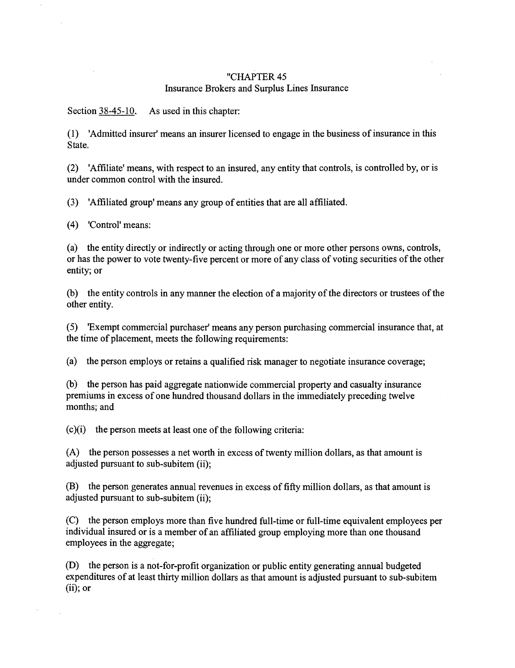#### "CHAPTER<sub>45</sub> Insurance Brokers and Surplus Lines Insurance

Section 38-45-10. As used in this chapter:

(1) 'Admitted insurer' means an insurer licensed to engage in the business of insurance in this State.

(2) 'Affiliate' means, with respect to an insured, any entity that controls, is controlled by, or is under common control with the insured.

(3) 'Affiliated group' means any group of entities that are all affiliated.

( 4) 'Control' means:

(a) the entity directly or indirectly or acting through one or more other persons owns, controls, or has the power to vote twenty-five percent or more of any class of voting securities of the other entity; or

(b) the entity controls in any manner the election of a majority of the directors or trustees of the other entity.

(5) 'Exempt commercial purchaser' means any person purchasing commercial insurance that, at the time of placement, meets the following requirements:

(a) the person employs or retains a qualified risk manager to negotiate insurance coverage;

(b) the person has paid aggregate nationwide commercial property and casualty insurance premiums in excess of one hundred thousand dollars in the immediately preceding twelve months; and

(c)(i) the person meets at least one of the following criteria:

(A) the person possesses a net worth in excess of twenty million dollars, as that amount is adjusted pursuant to sub-subitem (ii);

(B) the person generates annual revenues in excess of fifty million dollars, as that amount is adjusted pursuant to sub-subitem (ii);

(C) the person employs more than five hundred full-time or full-time equivalent employees per individual insured or is a member of an affiliated group employing more than one thousand employees in the aggregate;

(D) the person is a not-for-profit organization or public entity generating annual budgeted expenditures of at least thirty million dollars as that amount is adjusted pursuant to sub-subitem  $(ii)$ ; or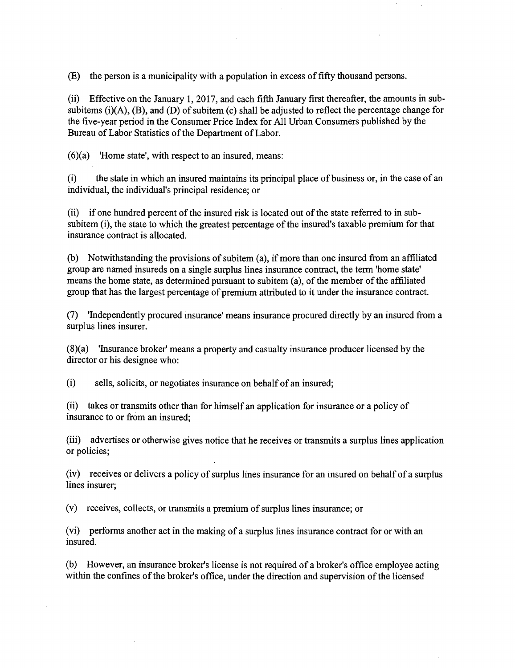(E) the person is a municipality with a population in excess of fifty thousand persons.

(ii) Effective on the January 1, 2017, and each fifth January first thereafter, the amounts in subsubitems  $(i)(A)$ ,  $(B)$ , and  $(D)$  of subitem  $(c)$  shall be adjusted to reflect the percentage change for the five-year period in the Consumer Price Index for All Urban Consumers published by the Bureau of Labor Statistics of the Department of Labor.

(6)(a) 'Home state', with respect to an insured, means:

(i) the state in which an insured maintains its principal place of business or, in the case of an individual, the individual's principal residence; or

(ii) if one hundred percent of the insured risk is located out of the state referred to in subsubitem (i), the state to which the greatest percentage of the insured's taxable premium for that insurance contract is allocated.

(b) Notwithstanding the provisions of subitem (a), if more than one insured from an affiliated group are named insureds on a single surplus lines insurance contract, the term 'home state' means the home state, as determined pursuant to subitem (a), of the member of the affiliated group that has the largest percentage of premium attributed to it under the insurance contract.

(7) 'Independently procured insurance' means insurance procured directly by an insured from a surplus lines insurer.

(8)(a) 'Insurance broker' means a property and casualty insurance producer licensed by the director or his designee who:

(i) sells, solicits, or negotiates insurance on behalf of an insured;

(ii) takes or transmits other than for himself an application for insurance or a policy of insurance to or from an insured;

(iii) advertises or otherwise gives notice that he receives or transmits a surplus lines application or policies;

(iv) receives or delivers a policy of surplus lines insurance for an insured on behalf of a surplus lines insurer;

(v) receives, collects, or transmits a premium of surplus lines insurance; or

(vi) performs another act in the making of a surplus lines insurance contract for or with an insured.

(b) However, an insurance broker's license is not required of a broker's office employee acting within the confines of the broker's office, under the direction and supervision of the licensed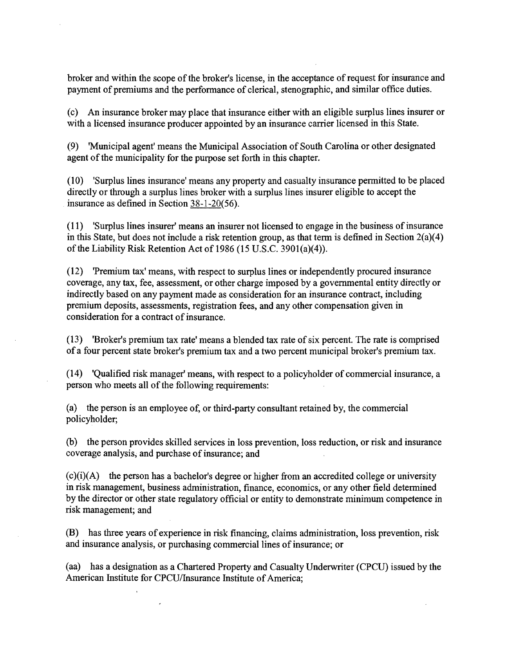broker and within the scope of the broker's license, in the acceptance of request for insurance and payment of premiums and the performance of clerical, stenographic, and similar office duties.

(c) An insurance broker may place that insurance either with an eligible surplus lines insurer or with a licensed insurance producer appointed by an insurance carrier licensed in this State.

(9) 'Municipal agent' means the Municipal Association of South Carolina or other designated agent of the municipality for the purpose set forth in this chapter.

(10) 'Surplus lines insurance' means any property and casualty insurance permitted to be placed directly or through a surplus lines broker with a surplus lines insurer eligible to accept the insurance as defined in Section 38-1-20(56).

( 11) 'Surplus lines insurer' means an insurer not licensed to engage in the business of insurance in this State, but does not include a risk retention group, as that term is defined in Section 2(a)(4) of the Liability Risk Retention Act of 1986 (15 U.S.C. 390l(a)(4)).

(12) 'Premium tax' means, with respect to surplus lines or independently procured insurance coverage, any tax, fee, assessment, or other charge imposed by a governmental entity directly or indirectly based on any payment made as consideration for an insurance contract, including premium deposits, assessments, registration fees, and any other compensation given in consideration for a contract of insurance.

(13) 'Broker's premium tax rate' means a blended tax rate of six percent. The rate is comprised of a four percent state broker's premium tax and a two percent municipal broker's premium tax.

(14) 'Qualified risk manager' means, with respect to a policyholder of commercial insurance, a person who meets all of the following requirements:

(a) the person is an employee of, or third-party consultant retained by, the commercial policyholder;

(b) the person provides skilled services in loss prevention, loss reduction, or risk and insurance coverage analysis; and purchase of insurance; and

 $(c)(i)(A)$  the person has a bachelor's degree or higher from an accredited college or university in risk management, business administration, finance, economics, or any other field determined by the director or other state regulatory official or entity to demonstrate minimum competence in risk management; and

(B) has three years of experience in risk financing, claims administration, loss prevention, risk and insurance analysis, or purchasing commercial lines of insurance; or

(aa) has a designation as a Chartered Property and Casualty Underwriter (CPCU) issued by the American Institute for CPCU/Insurance Institute of America;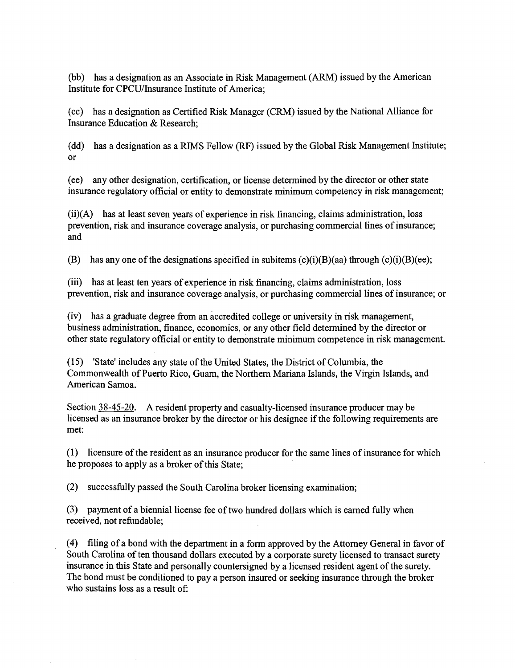(bb) has a designation as an Associate in Risk Management (ARM) issued by the American Institute for CPCU/Insurance Institute of America;

(cc) has a designation as Certified Risk Manager (CRM) issued by the National Alliance for Insurance Education & Research;

(dd) has a designation as a RIMS Fellow (RF) issued by the Global Risk Management Institute; or

(ee) any other designation, certification, or license determined by the director or other state insurance regulatory official or entity to demonstrate minimum competency in risk management;

(ii)(A) has at least seven years of experience in risk financing, claims administration, loss prevention, risk and insurance coverage analysis, or purchasing commercial lines of insurance; and

(B) has any one of the designations specified in subitems  $(c)(i)(B)(aa)$  through  $(c)(i)(B)(ee)$ ;

(iii) has at least ten years of experience in risk financing, claims administration, loss prevention, risk and insurance coverage analysis, or purchasing commercial lines of insurance; or

(iv) has a graduate degree from an accredited college or university in risk management, business administration, finance, economics, or any other field determined by the director or other state regulatory official or entity to demonstrate minimum competence in risk management.

(15) 'State' includes any state of the United States, the District of Columbia, the Commonwealth of Puerto Rico, Guam, the Northern Mariana Islands, the Virgin Islands, and American Samoa.

Section 38-45-20. A resident property and casualty-licensed insurance producer may be licensed as an insurance broker by the director or his designee if the following requirements are met:

( 1) licensure of the resident as an insurance producer for the same lines of insurance for which he proposes to apply as a broker of this State;

(2) successfully passed the South Carolina broker licensing examination;

(3) payment of a biennial license fee of two hundred dollars which is earned fully when received, not refundable;

( 4) filing of a bond with the department in a form approved by the Attorney General in favor of South Carolina of ten thousand dollars executed by a corporate surety licensed to transact surety insurance in this State and personally countersigned by a licensed resident agent of the surety. The bond must be conditioned to pay a person insured or seeking insurance through the broker who sustains loss as a result of: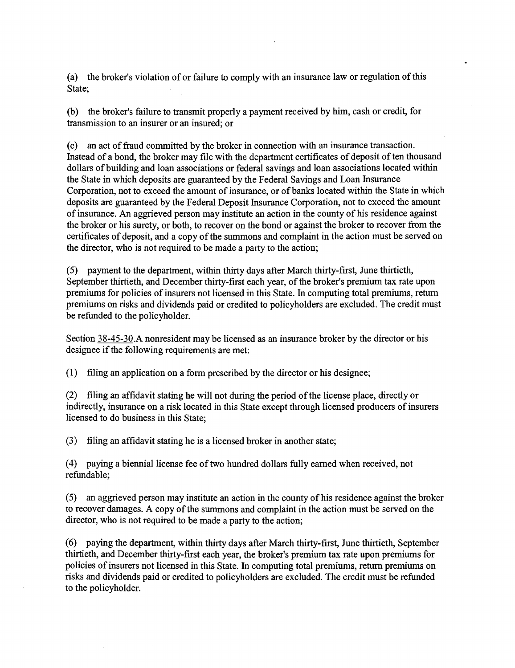(a) the broker's violation of or failure to comply with an insurance law or regulation of this State;

(b) the broker's failure to transmit properly a payment received by him, cash or credit, for transmission to an insurer or an insured; or

(c) an act of fraud committed by the broker in connection with an insurance transaction. Instead of a bond, the broker may file with the department certificates of deposit of ten thousand dollars of building and loan associations or federal savings and loan associations located within the State in which deposits are guaranteed by the Federal Savings and Loan Insurance Corporation, not to exceed the amount of insurance, or of banks located within the State in which deposits are guaranteed by the Federal Deposit Insurance Corporation, not to exceed the amount of insurance. An aggrieved person may institute an action in the county of his residence against the broker or his surety, or both, to recover on the bond or against the broker to recover from the certificates of deposit, and a copy of the summons and complaint in the action must be served on the director, who is not required to be made a party to the action;

(5) payment to the department, within thirty days after March thirty-first, June thirtieth, September thirtieth, and December thirty-first each year, of the broker's premium tax rate upon premiums for policies of insurers not licensed in this State. In computing total premiums, return premiums on risks and dividends paid or credited to policyholders are excluded. The credit must be refunded to the policyholder.

Section 38-45-30.A nonresident may be licensed as an insurance broker by the director or his designee if the following requirements are met:

(1) filing an application on a form prescribed by the director or his designee;

(2) filing an affidavit stating he will not during the period of the license place, directly or indirectly, insurance on a risk located in this State except through licensed producers of insurers licensed to do business in this State;

(3) filing an affidavit stating he is a licensed broker in another state;

(4) paying a biennial license fee of two hundred dollars fully earned when received, not refundable;

(5) an aggrieved person may institute an action in the county of his residence against the broker to recover damages. A copy of the summons and complaint in the action must be served on the director, who is not required to be made a party to the action;

(6) paying the department, within thirty days after March thirty-first, June thirtieth, September thirtieth, and December thirty-first each year, the broker's premium tax rate upon premiums for policies of insurers not licensed in this State. In computing total premiums, return premiums on risks and dividends paid or credited to policyholders are excluded. The credit must be refunded to the policyholder.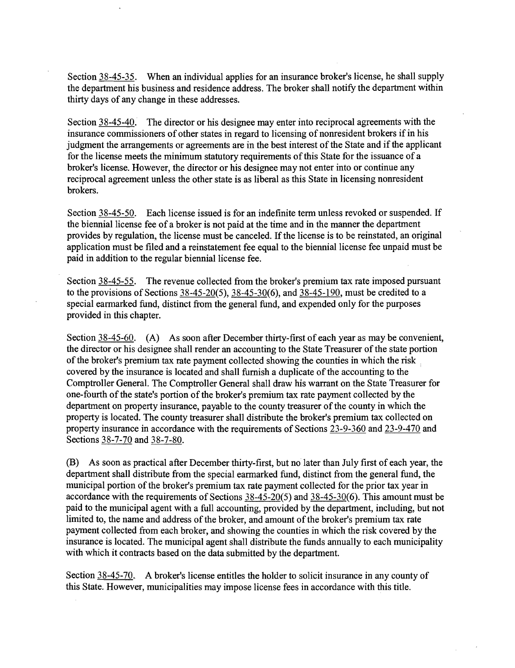Section 38-45-35. When an individual applies for an insurance broker's license, he shall supply the department his business and residence address. The broker shall notify the department within thirty days of any change in these addresses.

Section 38-45-40. The director or his designee may enter into reciprocal agreements with the insurance commissioners of other states in regard to licensing of nonresident brokers if in his judgment the arrangements or agreements are in the best interest of the State and if the applicant for the license meets the minimum statutory requirements of this State for the issuance of a broker's license. However, the director or his designee may not enter into or continue any reciprocal agreement unless the other state is as liberal as this State in licensing nonresident brokers.

Section 38-45-50. Each license issued is for an indefinite term unless revoked or suspended. If the biennial license fee of a broker is not paid at the time and in the manner the department provides by regulation, the license must be canceled. If the license is to be reinstated, an original application must be filed and a reinstatement fee equal to the biennial license fee unpaid must be paid in addition to the regular biennial license fee.

Section 38-45-55. The revenue collected from the broker's premium tax rate imposed pursuant to the provisions of Sections  $38-45-20(5)$ ,  $38-45-30(6)$ , and  $38-45-190$ , must be credited to a special earmarked fund, distinct from the general fund, and expended only for the purposes provided in this chapter.

Section 38-45-60. (A) As soon after December thirty-first of each year as may be convenient, the director or his designee shall render an accounting to the State Treasurer of the state portion of the broker's premium tax rate payment collected showing the counties in which the risk 1 covered by the insurance is located and shall furnish a duplicate of the accounting to the Comptroller General. The Comptroller General shall draw his warrant on the State Treasurer for one-fourth of the state's portion of the broker's premium tax rate payment collected by the department on property insurance, payable to the county treasurer of the county in which the property is located. The county treasurer shall distribute the broker's premium tax collected on property insurance in accordance with the requirements of Sections 23-9-360 and 23-9-470 and Sections 38-7-70 and 38-7-80.

(B) As soon as practical after December thirty-first, but no later than July first of each year, the department shall distribute from the special earmarked fund, distinct from the general fund, the municipal portion of the broker's premium tax rate payment collected for the prior tax year in accordance with the requirements of Sections  $38-45-20(5)$  and  $38-45-30(6)$ . This amount must be paid to the municipal agent with a full accounting, provided by the department, including, but not limited to, the name and address of the broker, and amount of the broker's premium tax rate payment collected from each broker, and showing the counties in which the risk covered by the insurance is located. The municipal agent shall distribute the funds annually to each municipality with which it contracts based on the data submitted by the department.

Section 38-45-70. A broker's license entitles the holder to solicit insurance in any county of this State. However, municipalities may impose license fees in accordance with this title.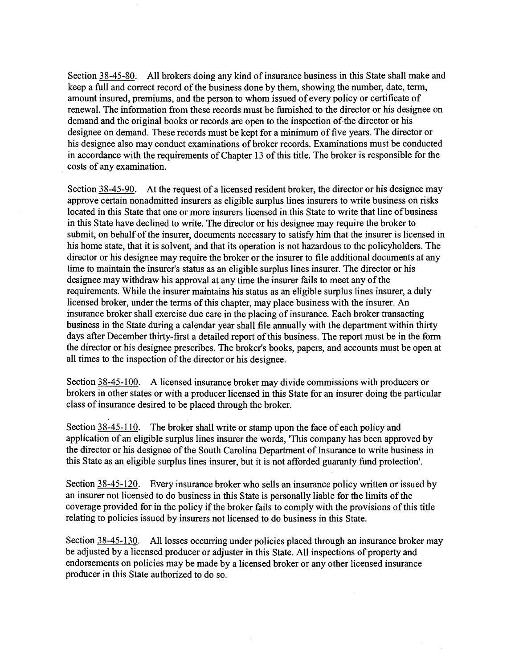Section 38-45-80. All brokers doing any kind of insurance business in this State shall make and keep a full and correct record of the business done by them, showing the number, date, term, amount insured, premiums, and the person to whom issued of every policy or certificate of renewal. The information from these records must be furnished to the director or his designee on demand and the original books or records are open to the inspection of the director or his designee on demand. These records must be kept for a minimum of five years. The director or his designee also may conduct examinations of broker records. Examinations must be conducted in accordance with the requirements of Chapter 13 of this title. The broker is responsible for the costs of any examination.

Section 38-45-90. At the request of a licensed resident broker, the director or his designee may approve certain nonadmitted insurers as eligible surplus lines insurers to write business on risks located in this State that one or more insurers licensed in this State to write that line of business in this State have declined to write. The director or his designee may require the broker to submit, on behalf of the insurer, documents necessary to satisfy him that the insurer is licensed in his home state, that it is solvent, and that its operation is not hazardous to the policyholders. The director or his designee may require the broker or the insurer to file additional documents at any time to maintain the insurer's status as an eligible surplus lines insurer. The director or his designee may withdraw his approval at any time the insurer fails to meet any of the requirements. While the insurer maintains his status as an eligible surplus lines insurer, a duly licensed broker, under the terms of this chapter, may place business with the insurer. An insurance broker shall exercise due care in the placing of insurance. Each broker transacting business in the State during a calendar year shall file annually with the department within thirty days after December thirty-first a detailed report of this business. The report must be in the form the director or his designee prescribes. The broker's books, papers, and accounts must be open at all times to the inspection of the director or his designee.

Section 38-45-100. A licensed insurance broker may divide commissions with producers or brokers in other states or with a producer licensed in this State for an insurer doing the particular class of insurance desired to be placed through the broker.

Section 38-45-110. The broker shall write or stamp upon the face of each policy and application of an eligible surplus lines insurer the words, 'This company has been approved by the director or his designee of the South Carolina Department of Insurance to write business in this State as an eligible surplus lines insurer, but it is not afforded guaranty fund protection'.

Section 38-45-120. Every insurance broker who sells an insurance policy written or issued by an insurer not licensed to do business in this State is personally liable for the limits of the coverage provided for in the policy if the broker fails to comply with the provisions of this title relating to policies issued by insurers not licensed to do business in this State.

Section 38-45-130. All losses occurring under policies placed through an insurance broker may be adjusted by a licensed producer or adjuster in this State. All inspections of property and endorsements on policies may be made by a licensed broker or any other licensed insurance producer in this State authorized to do so.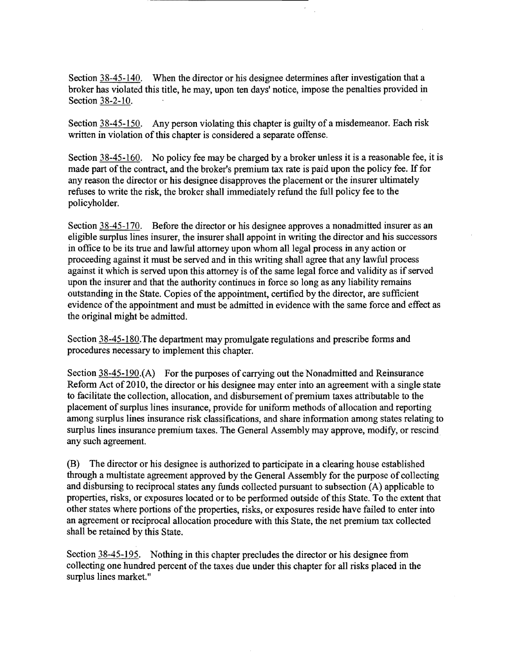Section 38-45-140. When the director or his designee determines after investigation that a broker has violated this title, he may, upon ten days' notice, impose the penalties provided in Section 38-2-10.

Section 38-45-150. Any person violating this chapter is guilty of a misdemeanor. Each risk written in violation of this chapter is considered a separate offense.

Section 38-45-160. No policy fee may be charged by a broker unless it is a reasonable fee, it is made part of the contract, and the broker's premium tax rate is paid upon the policy fee. If for any reason the director or his designee disapproves the placement or the insurer ultimately refuses to write the risk, the broker shall immediately refund the full policy fee to the policyholder.

Section 38-45-170. Before the director or his designee approves a nonadmitted insurer as an eligible surplus lines insurer, the insurer shall appoint in writing the director and his successors in office to be its true and lawful attorney upon whom all legal process in any action or proceeding against it must be served and in this writing shall agree that any lawful process against it which is served upon this attorney is of the same legal force and validity as if served upon the insurer and that the authority continues in force so long as any liability remains outstanding in the State. Copies of the appointment, certified by the director, are sufficient evidence of the appointment and must be admitted in evidence with the same force and effect as the original might be admitted.

Section 38-45-180.The department may promulgate regulations and prescribe forms and procedures necessary to implement this chapter.

Section  $38-45-190$ . (A) For the purposes of carrying out the Nonadmitted and Reinsurance Reform Act of 2010, the director or his designee may enter into an agreement with a single state to facilitate the collection, allocation, and disbursement of premium taxes attributable to the placement of surplus lines insurance, provide for uniform methods of allocation and reporting among surplus lines insurance risk classifications, and share information among states relating to surplus lines insurance premium taxes. The General Assembly may approve, modify, or rescind any such agreement.

(B) The director or his designee is authorized to participate in a clearing house established through a multistate agreement approved by the General Assembly for the purpose of collecting and disbursing to reciprocal states any funds collected pursuant to subsection (A) applicable to properties, risks, or exposures located or to be performed outside of this State. To the extent that other states where portions of the properties, risks, or exposures reside have failed to enter into an agreement or reciprocal allocation procedure with this State, the net premium tax collected shall be retained by this State.

Section  $38-45-195$ . Nothing in this chapter precludes the director or his designee from collecting one hundred percent of the taxes due under this chapter for all risks placed in the surplus lines market."